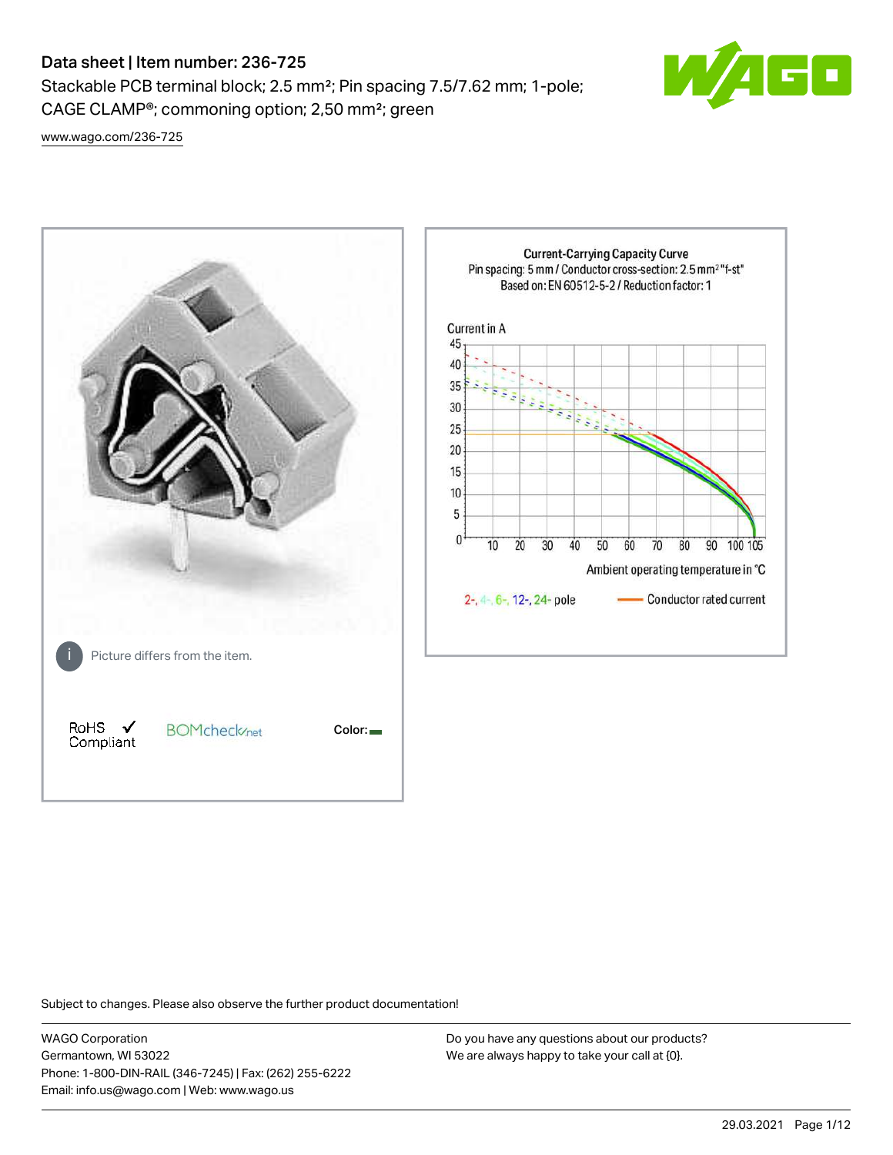# Data sheet | Item number: 236-725

Stackable PCB terminal block; 2.5 mm²; Pin spacing 7.5/7.62 mm; 1-pole; CAGE CLAMP®; commoning option; 2,50 mm²; green



[www.wago.com/236-725](http://www.wago.com/236-725)



Subject to changes. Please also observe the further product documentation!

WAGO Corporation Germantown, WI 53022 Phone: 1-800-DIN-RAIL (346-7245) | Fax: (262) 255-6222 Email: info.us@wago.com | Web: www.wago.us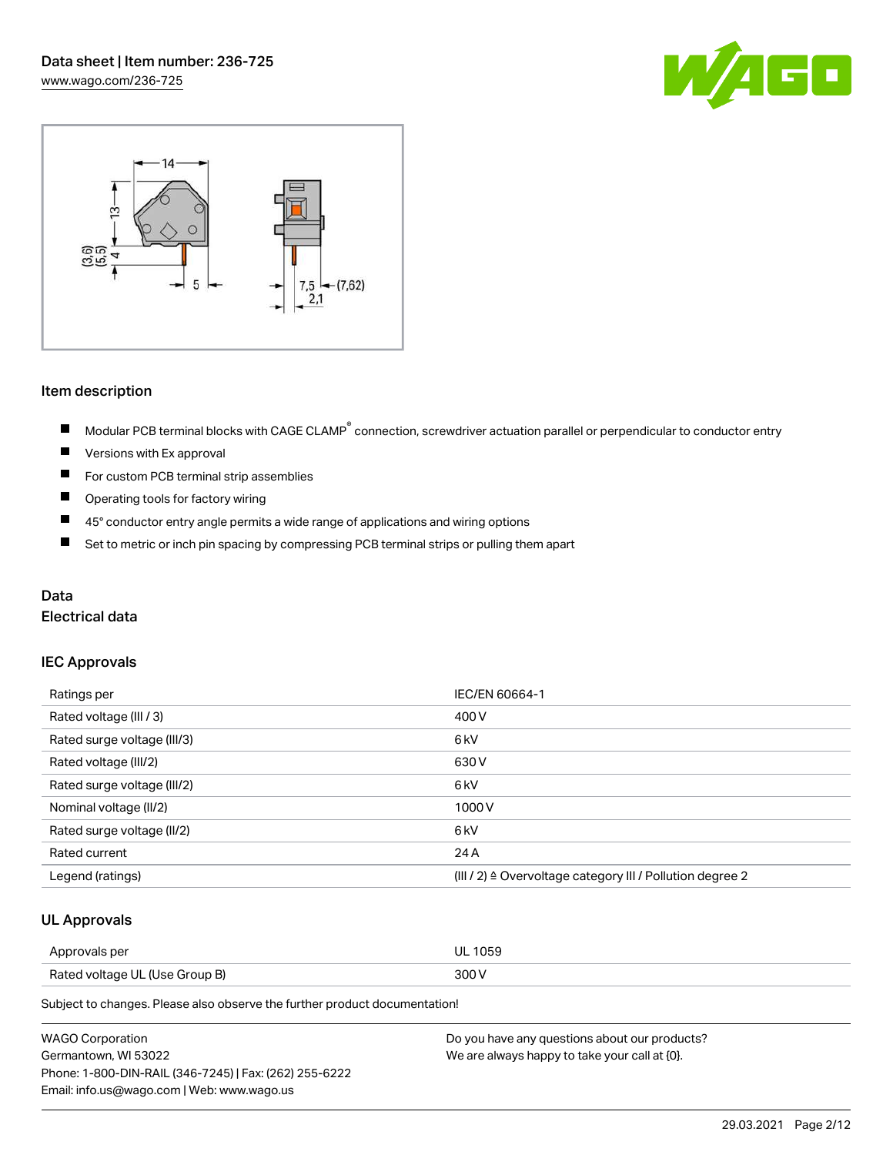



# Item description

- Modular PCB terminal blocks with CAGE CLAMP<sup>®</sup> connection, screwdriver actuation parallel or perpendicular to conductor entry  $\blacksquare$
- $\blacksquare$ Versions with Ex approval
- $\blacksquare$ For custom PCB terminal strip assemblies
- $\blacksquare$ Operating tools for factory wiring
- $\blacksquare$ 45° conductor entry angle permits a wide range of applications and wiring options
- $\blacksquare$ Set to metric or inch pin spacing by compressing PCB terminal strips or pulling them apart

#### Data

#### Electrical data

#### IEC Approvals

| Ratings per                 | IEC/EN 60664-1                                                        |
|-----------------------------|-----------------------------------------------------------------------|
| Rated voltage (III / 3)     | 400 V                                                                 |
| Rated surge voltage (III/3) | 6 <sub>k</sub> V                                                      |
| Rated voltage (III/2)       | 630 V                                                                 |
| Rated surge voltage (III/2) | 6 <sub>k</sub> V                                                      |
| Nominal voltage (II/2)      | 1000 V                                                                |
| Rated surge voltage (II/2)  | 6 <sub>k</sub> V                                                      |
| Rated current               | 24 A                                                                  |
| Legend (ratings)            | $(III / 2)$ $\triangle$ Overvoltage category III / Pollution degree 2 |

#### UL Approvals

| Approvals per                  | <b>UL 1059</b> |
|--------------------------------|----------------|
| Rated voltage UL (Use Group B) | 300 V          |

Subject to changes. Please also observe the further product documentation!

| <b>WAGO Corporation</b>                                | Do you have any questions about our products? |
|--------------------------------------------------------|-----------------------------------------------|
| Germantown, WI 53022                                   | We are always happy to take your call at {0}. |
| Phone: 1-800-DIN-RAIL (346-7245)   Fax: (262) 255-6222 |                                               |
| Email: info.us@wago.com   Web: www.wago.us             |                                               |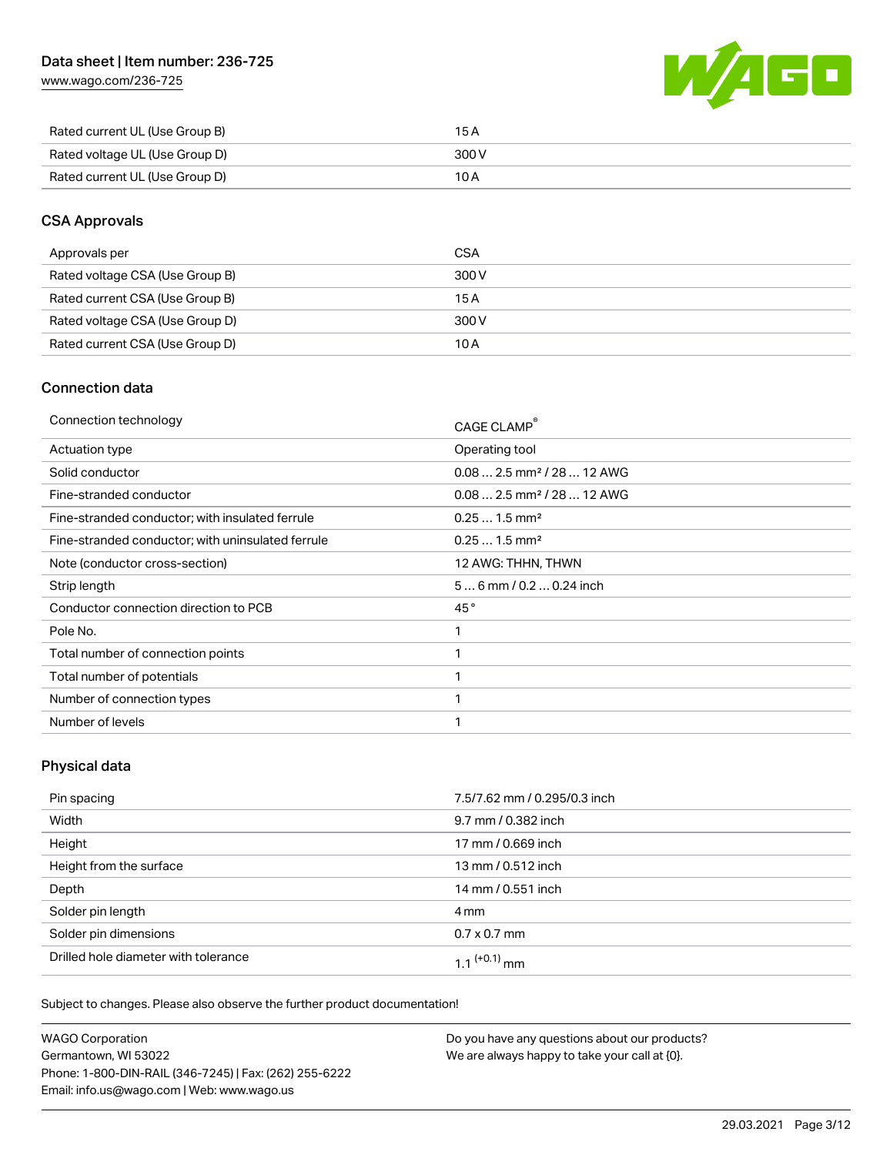[www.wago.com/236-725](http://www.wago.com/236-725)



| Rated current UL (Use Group B) | 15 A  |
|--------------------------------|-------|
| Rated voltage UL (Use Group D) | 300 V |
| Rated current UL (Use Group D) | 10 A  |

# CSA Approvals

| Approvals per                   | CSA   |
|---------------------------------|-------|
| Rated voltage CSA (Use Group B) | 300 V |
| Rated current CSA (Use Group B) | 15 A  |
| Rated voltage CSA (Use Group D) | 300 V |
| Rated current CSA (Use Group D) | 10 A  |

# Connection data

| Connection technology                             | CAGE CLAMP®                             |
|---------------------------------------------------|-----------------------------------------|
| Actuation type                                    | Operating tool                          |
| Solid conductor                                   | $0.08$ 2.5 mm <sup>2</sup> / 28  12 AWG |
| Fine-stranded conductor                           | $0.08$ 2.5 mm <sup>2</sup> / 28  12 AWG |
| Fine-stranded conductor; with insulated ferrule   | $0.251.5$ mm <sup>2</sup>               |
| Fine-stranded conductor; with uninsulated ferrule | $0.251.5$ mm <sup>2</sup>               |
| Note (conductor cross-section)                    | 12 AWG: THHN, THWN                      |
|                                                   |                                         |
| Strip length                                      | $56$ mm / 0.2  0.24 inch                |
| Conductor connection direction to PCB             | 45°                                     |
| Pole No.                                          |                                         |
| Total number of connection points                 |                                         |
| Total number of potentials                        |                                         |
| Number of connection types                        |                                         |
| Number of levels                                  |                                         |

# Physical data

| Pin spacing                          | 7.5/7.62 mm / 0.295/0.3 inch |
|--------------------------------------|------------------------------|
| Width                                | 9.7 mm / 0.382 inch          |
| Height                               | 17 mm / 0.669 inch           |
| Height from the surface              | 13 mm / 0.512 inch           |
| Depth                                | 14 mm / 0.551 inch           |
| Solder pin length                    | 4 mm                         |
| Solder pin dimensions                | $0.7 \times 0.7$ mm          |
| Drilled hole diameter with tolerance | 1 1 $(+0.1)$ mm              |

Subject to changes. Please also observe the further product documentation!

| <b>WAGO Corporation</b>                                | Do you have any questions about our products? |
|--------------------------------------------------------|-----------------------------------------------|
| Germantown, WI 53022                                   | We are always happy to take your call at {0}. |
| Phone: 1-800-DIN-RAIL (346-7245)   Fax: (262) 255-6222 |                                               |
| Email: info.us@wago.com   Web: www.wago.us             |                                               |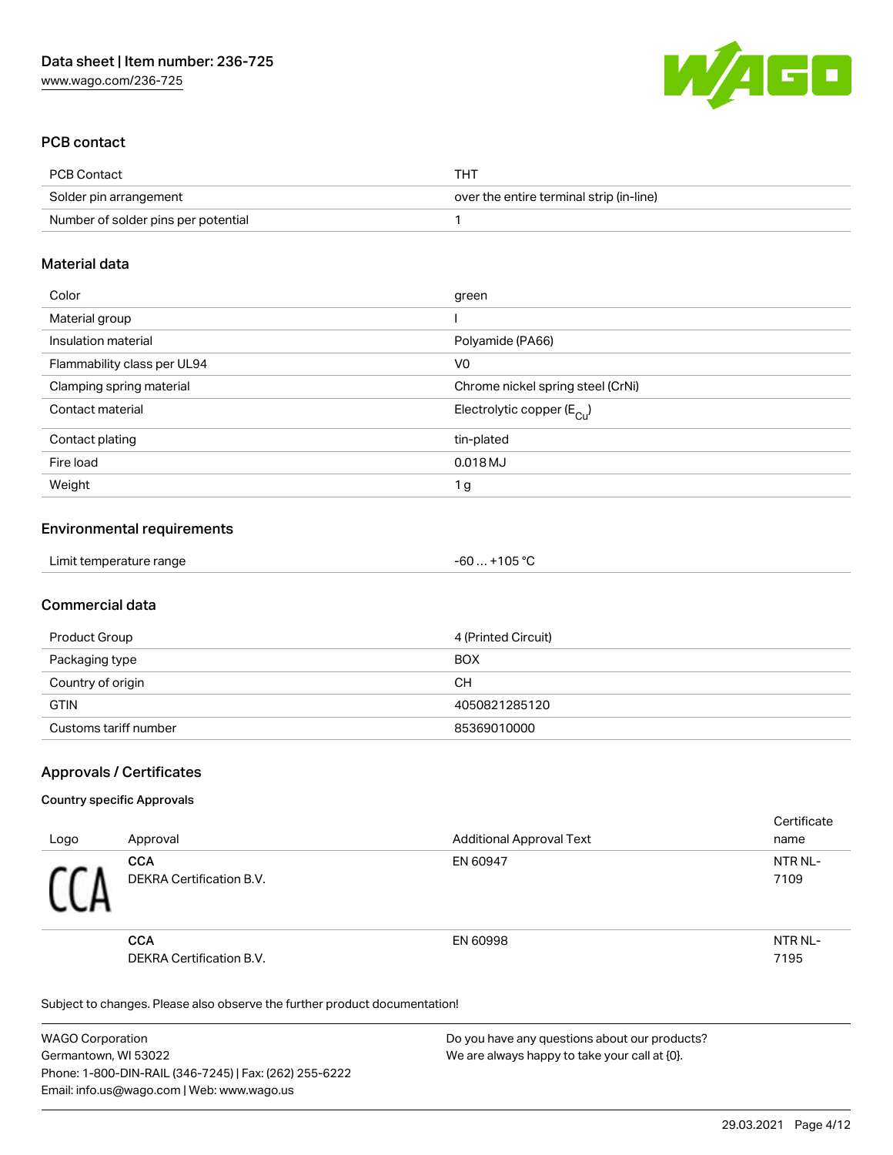

#### PCB contact

| PCB Contact                         | THT                                      |
|-------------------------------------|------------------------------------------|
| Solder pin arrangement              | over the entire terminal strip (in-line) |
| Number of solder pins per potential |                                          |

### Material data

| Color                       | green                                 |
|-----------------------------|---------------------------------------|
| Material group              |                                       |
| Insulation material         | Polyamide (PA66)                      |
| Flammability class per UL94 | V0                                    |
| Clamping spring material    | Chrome nickel spring steel (CrNi)     |
| Contact material            | Electrolytic copper $(E_{\text{Cl}})$ |
| Contact plating             | tin-plated                            |
| Fire load                   | $0.018$ MJ                            |
| Weight                      | 1 g                                   |
|                             |                                       |

# Environmental requirements

| Limit temperature range | . +105 °ົ<br>-60 |
|-------------------------|------------------|
|-------------------------|------------------|

# Commercial data

| Product Group         | 4 (Printed Circuit) |
|-----------------------|---------------------|
| Packaging type        | <b>BOX</b>          |
| Country of origin     | CН                  |
| <b>GTIN</b>           | 4050821285120       |
| Customs tariff number | 85369010000         |

# Approvals / Certificates

#### Country specific Approvals

| Logo | Approval                               | <b>Additional Approval Text</b> | Certificate<br>name |
|------|----------------------------------------|---------------------------------|---------------------|
|      | <b>CCA</b><br>DEKRA Certification B.V. | EN 60947                        | NTR NL-<br>7109     |
|      | <b>CCA</b><br>DEKRA Certification B.V. | EN 60998                        | NTR NL-<br>7195     |

Subject to changes. Please also observe the further product documentation!

| WAGO Corporation                                       | Do you have any questions about our products? |
|--------------------------------------------------------|-----------------------------------------------|
| Germantown, WI 53022                                   | We are always happy to take your call at {0}. |
| Phone: 1-800-DIN-RAIL (346-7245)   Fax: (262) 255-6222 |                                               |
| Email: info.us@wago.com   Web: www.wago.us             |                                               |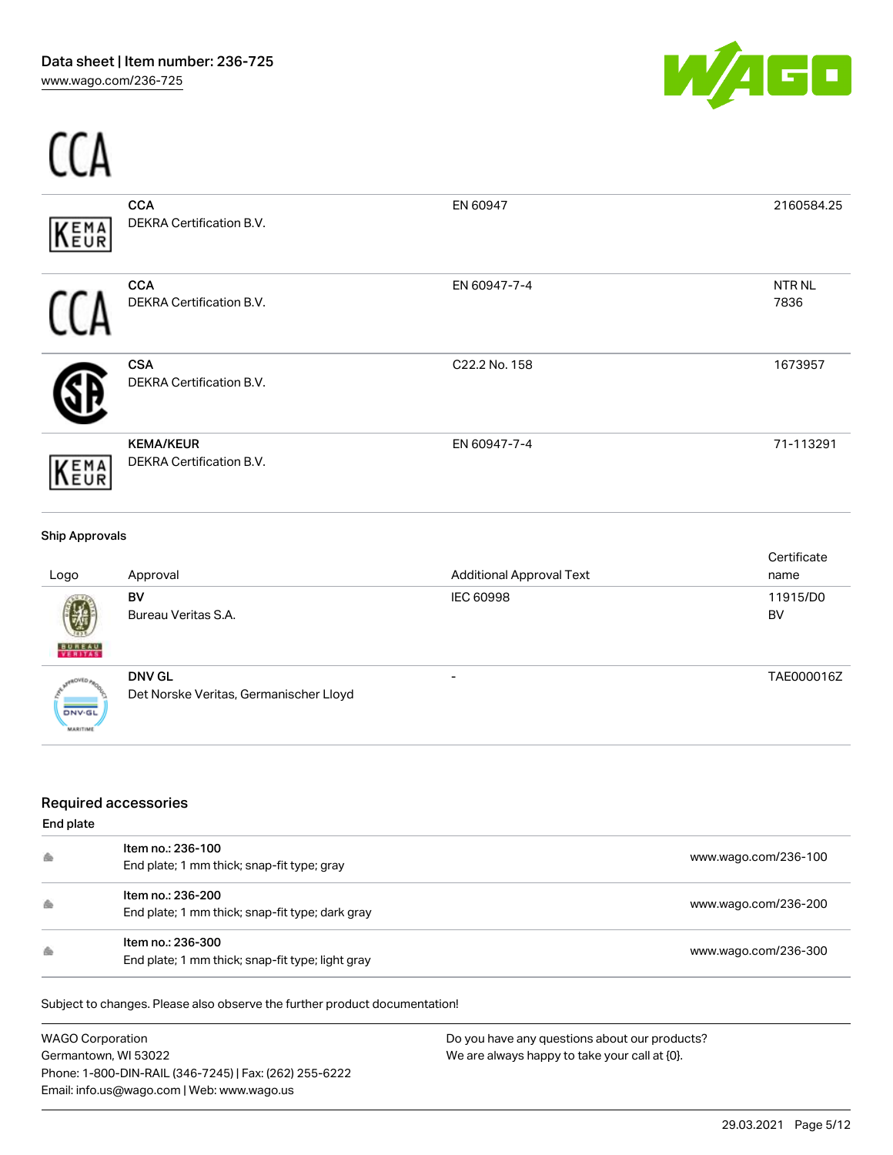

| KEMA                  | <b>CCA</b><br>DEKRA Certification B.V.       | EN 60947                        | 2160584.25           |
|-----------------------|----------------------------------------------|---------------------------------|----------------------|
|                       | <b>CCA</b><br>DEKRA Certification B.V.       | EN 60947-7-4                    | <b>NTRNL</b><br>7836 |
|                       | <b>CSA</b><br>DEKRA Certification B.V.       | C22.2 No. 158                   | 1673957              |
| KEMA                  | <b>KEMA/KEUR</b><br>DEKRA Certification B.V. | EN 60947-7-4                    | 71-113291            |
| <b>Ship Approvals</b> |                                              |                                 |                      |
| Logo.                 | Annroval                                     | <b>Additional Annroval Text</b> | Certificate<br>name  |

| Logo                             | Approval                                                | <b>Additional Approval Text</b> | name           |
|----------------------------------|---------------------------------------------------------|---------------------------------|----------------|
| 嚩<br><b>BUREAU</b>               | <b>BV</b><br>Bureau Veritas S.A.                        | <b>IEC 60998</b>                | 11915/D0<br>BV |
| <b>DNV-GL</b><br><b>MARITIME</b> | <b>DNV GL</b><br>Det Norske Veritas, Germanischer Lloyd | $\overline{\phantom{0}}$        | TAE000016Z     |

# Required accessories

#### End plate

| 会 | Item no.: 236-100<br>End plate; 1 mm thick; snap-fit type; gray       | www.wago.com/236-100 |
|---|-----------------------------------------------------------------------|----------------------|
| 会 | Item no.: 236-200<br>End plate; 1 mm thick; snap-fit type; dark gray  | www.wago.com/236-200 |
| 会 | Item no.: 236-300<br>End plate; 1 mm thick; snap-fit type; light gray | www.wago.com/236-300 |

Subject to changes. Please also observe the further product documentation!

WAGO Corporation Germantown, WI 53022 Phone: 1-800-DIN-RAIL (346-7245) | Fax: (262) 255-6222 Email: info.us@wago.com | Web: www.wago.us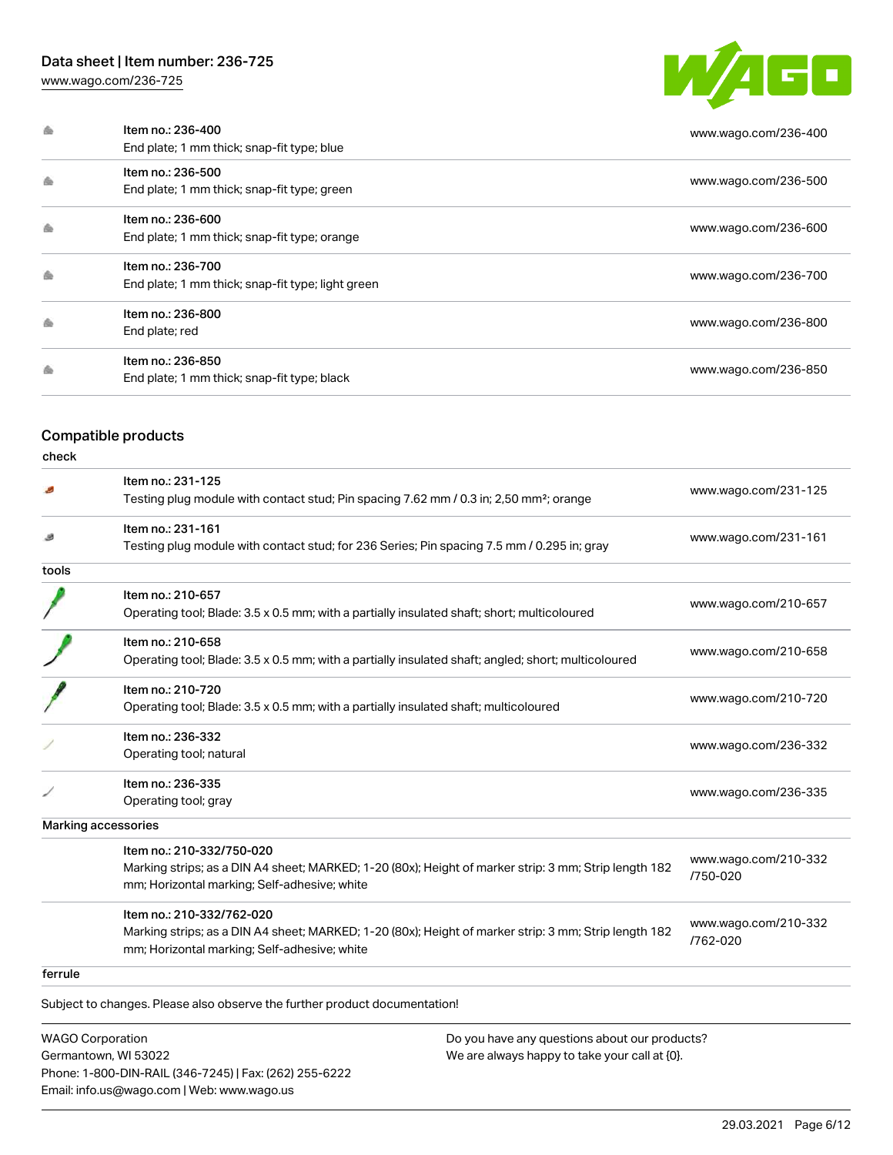# Data sheet | Item number: 236-725

[www.wago.com/236-725](http://www.wago.com/236-725)



| Item no.: 236-400<br>End plate; 1 mm thick; snap-fit type; blue        | www.wago.com/236-400 |
|------------------------------------------------------------------------|----------------------|
| Item no.: 236-500<br>End plate; 1 mm thick; snap-fit type; green       | www.wago.com/236-500 |
| Item no.: 236-600<br>End plate; 1 mm thick; snap-fit type; orange      | www.wago.com/236-600 |
| Item no.: 236-700<br>End plate; 1 mm thick; snap-fit type; light green | www.wago.com/236-700 |
| Item no.: 236-800<br>End plate; red                                    | www.wago.com/236-800 |
| Item no.: 236-850<br>End plate; 1 mm thick; snap-fit type; black       | www.wago.com/236-850 |

# Compatible products

check

|         | Item no.: 231-125                                                                                     |                                  |  |
|---------|-------------------------------------------------------------------------------------------------------|----------------------------------|--|
|         | Testing plug module with contact stud; Pin spacing 7.62 mm / 0.3 in; 2,50 mm <sup>2</sup> ; orange    | www.wago.com/231-125             |  |
|         | Item no.: 231-161                                                                                     | www.wago.com/231-161             |  |
|         | Testing plug module with contact stud; for 236 Series; Pin spacing 7.5 mm / 0.295 in; gray            |                                  |  |
| tools   |                                                                                                       |                                  |  |
|         | Item no.: 210-657                                                                                     |                                  |  |
|         | Operating tool; Blade: 3.5 x 0.5 mm; with a partially insulated shaft; short; multicoloured           | www.wago.com/210-657             |  |
|         | Item no.: 210-658                                                                                     | www.wago.com/210-658             |  |
|         | Operating tool; Blade: 3.5 x 0.5 mm; with a partially insulated shaft; angled; short; multicoloured   |                                  |  |
|         | Item no.: 210-720                                                                                     | www.wago.com/210-720             |  |
|         | Operating tool; Blade: 3.5 x 0.5 mm; with a partially insulated shaft; multicoloured                  |                                  |  |
|         | Item no.: 236-332                                                                                     | www.wago.com/236-332             |  |
|         | Operating tool; natural                                                                               |                                  |  |
|         | Item no.: 236-335                                                                                     | www.wago.com/236-335             |  |
|         | Operating tool; gray                                                                                  |                                  |  |
|         | <b>Marking accessories</b>                                                                            |                                  |  |
|         | Item no.: 210-332/750-020                                                                             |                                  |  |
|         | Marking strips; as a DIN A4 sheet; MARKED; 1-20 (80x); Height of marker strip: 3 mm; Strip length 182 | www.wago.com/210-332<br>/750-020 |  |
|         | mm; Horizontal marking; Self-adhesive; white                                                          |                                  |  |
|         | Item no.: 210-332/762-020                                                                             | www.wago.com/210-332             |  |
|         | Marking strips; as a DIN A4 sheet; MARKED; 1-20 (80x); Height of marker strip: 3 mm; Strip length 182 | /762-020                         |  |
|         | mm; Horizontal marking; Self-adhesive; white                                                          |                                  |  |
| ferrule |                                                                                                       |                                  |  |

Subject to changes. Please also observe the further product documentation!

WAGO Corporation Germantown, WI 53022 Phone: 1-800-DIN-RAIL (346-7245) | Fax: (262) 255-6222 Email: info.us@wago.com | Web: www.wago.us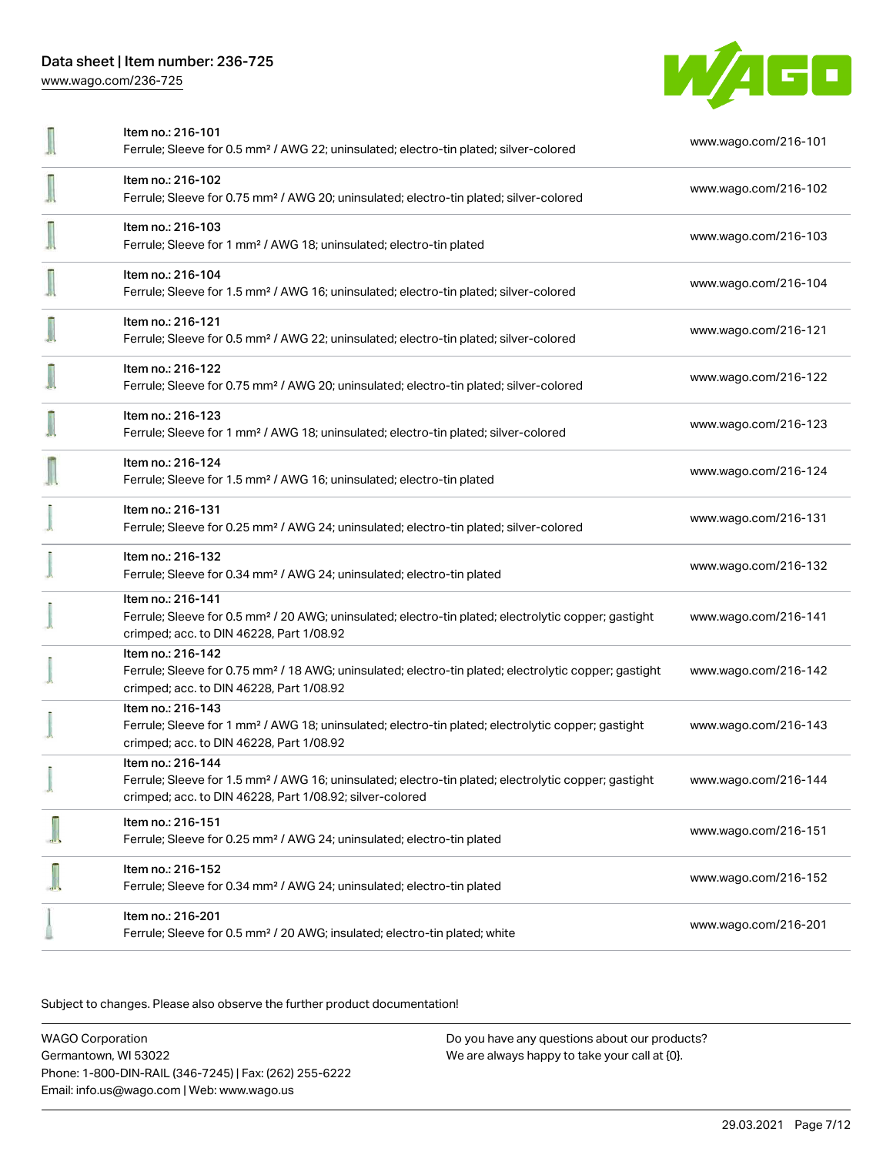

|                          | Item no.: 216-101<br>Ferrule; Sleeve for 0.5 mm <sup>2</sup> / AWG 22; uninsulated; electro-tin plated; silver-colored                                                                            | www.wago.com/216-101 |
|--------------------------|---------------------------------------------------------------------------------------------------------------------------------------------------------------------------------------------------|----------------------|
|                          | Item no.: 216-102<br>Ferrule; Sleeve for 0.75 mm <sup>2</sup> / AWG 20; uninsulated; electro-tin plated; silver-colored                                                                           | www.wago.com/216-102 |
| J                        | Item no.: 216-103<br>Ferrule; Sleeve for 1 mm <sup>2</sup> / AWG 18; uninsulated; electro-tin plated                                                                                              | www.wago.com/216-103 |
|                          | Item no.: 216-104<br>Ferrule; Sleeve for 1.5 mm <sup>2</sup> / AWG 16; uninsulated; electro-tin plated; silver-colored                                                                            | www.wago.com/216-104 |
|                          | Item no.: 216-121<br>Ferrule; Sleeve for 0.5 mm <sup>2</sup> / AWG 22; uninsulated; electro-tin plated; silver-colored                                                                            | www.wago.com/216-121 |
| $\overline{\phantom{a}}$ | Item no.: 216-122<br>Ferrule; Sleeve for 0.75 mm <sup>2</sup> / AWG 20; uninsulated; electro-tin plated; silver-colored                                                                           | www.wago.com/216-122 |
| $\overline{\phantom{a}}$ | Item no.: 216-123<br>Ferrule; Sleeve for 1 mm <sup>2</sup> / AWG 18; uninsulated; electro-tin plated; silver-colored                                                                              | www.wago.com/216-123 |
|                          | Item no.: 216-124<br>Ferrule; Sleeve for 1.5 mm <sup>2</sup> / AWG 16; uninsulated; electro-tin plated                                                                                            | www.wago.com/216-124 |
|                          | Item no.: 216-131<br>Ferrule; Sleeve for 0.25 mm <sup>2</sup> / AWG 24; uninsulated; electro-tin plated; silver-colored                                                                           | www.wago.com/216-131 |
|                          | Item no.: 216-132<br>Ferrule; Sleeve for 0.34 mm <sup>2</sup> / AWG 24; uninsulated; electro-tin plated                                                                                           | www.wago.com/216-132 |
|                          | Item no.: 216-141<br>Ferrule; Sleeve for 0.5 mm <sup>2</sup> / 20 AWG; uninsulated; electro-tin plated; electrolytic copper; gastight<br>crimped; acc. to DIN 46228, Part 1/08.92                 | www.wago.com/216-141 |
|                          | Item no.: 216-142<br>Ferrule; Sleeve for 0.75 mm <sup>2</sup> / 18 AWG; uninsulated; electro-tin plated; electrolytic copper; gastight<br>crimped; acc. to DIN 46228, Part 1/08.92                | www.wago.com/216-142 |
|                          | Item no.: 216-143<br>Ferrule; Sleeve for 1 mm <sup>2</sup> / AWG 18; uninsulated; electro-tin plated; electrolytic copper; gastight<br>crimped; acc. to DIN 46228, Part 1/08.92                   | www.wago.com/216-143 |
|                          | Item no.: 216-144<br>Ferrule; Sleeve for 1.5 mm <sup>2</sup> / AWG 16; uninsulated; electro-tin plated; electrolytic copper; gastight<br>crimped; acc. to DIN 46228, Part 1/08.92; silver-colored | www.wago.com/216-144 |
|                          | Item no.: 216-151<br>Ferrule; Sleeve for 0.25 mm <sup>2</sup> / AWG 24; uninsulated; electro-tin plated                                                                                           | www.wago.com/216-151 |
|                          | Item no.: 216-152<br>Ferrule; Sleeve for 0.34 mm <sup>2</sup> / AWG 24; uninsulated; electro-tin plated                                                                                           | www.wago.com/216-152 |
|                          | Item no.: 216-201<br>Ferrule; Sleeve for 0.5 mm <sup>2</sup> / 20 AWG; insulated; electro-tin plated; white                                                                                       | www.wago.com/216-201 |

Subject to changes. Please also observe the further product documentation!

WAGO Corporation Germantown, WI 53022 Phone: 1-800-DIN-RAIL (346-7245) | Fax: (262) 255-6222 Email: info.us@wago.com | Web: www.wago.us Do you have any questions about our products? We are always happy to take your call at {0}.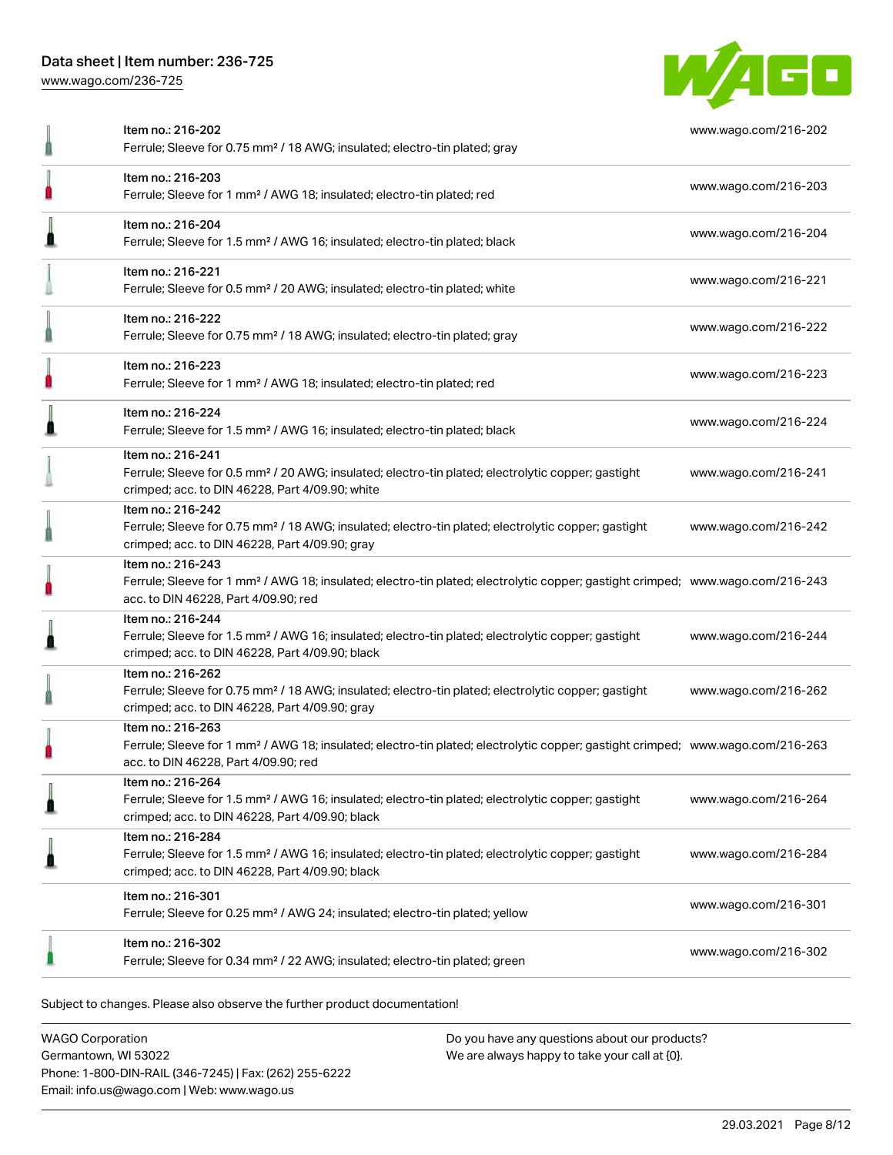[www.wago.com/236-725](http://www.wago.com/236-725)



|                                                                                                                                                                                                                                                                                                                                                                                                                                                                                                                                                                                                                                                                                                                                                                                                                                                                                                                                                                                                                                                                                                                                                                                                                                                                                                                                                                                                                                                                                                                                                                                                                                                                                                                                                                                               | Item no.: 216-202<br>Ferrule; Sleeve for 0.75 mm <sup>2</sup> / 18 AWG; insulated; electro-tin plated; gray                                                                            | www.wago.com/216-202 |
|-----------------------------------------------------------------------------------------------------------------------------------------------------------------------------------------------------------------------------------------------------------------------------------------------------------------------------------------------------------------------------------------------------------------------------------------------------------------------------------------------------------------------------------------------------------------------------------------------------------------------------------------------------------------------------------------------------------------------------------------------------------------------------------------------------------------------------------------------------------------------------------------------------------------------------------------------------------------------------------------------------------------------------------------------------------------------------------------------------------------------------------------------------------------------------------------------------------------------------------------------------------------------------------------------------------------------------------------------------------------------------------------------------------------------------------------------------------------------------------------------------------------------------------------------------------------------------------------------------------------------------------------------------------------------------------------------------------------------------------------------------------------------------------------------|----------------------------------------------------------------------------------------------------------------------------------------------------------------------------------------|----------------------|
|                                                                                                                                                                                                                                                                                                                                                                                                                                                                                                                                                                                                                                                                                                                                                                                                                                                                                                                                                                                                                                                                                                                                                                                                                                                                                                                                                                                                                                                                                                                                                                                                                                                                                                                                                                                               | Item no.: 216-203<br>Ferrule; Sleeve for 1 mm <sup>2</sup> / AWG 18; insulated; electro-tin plated; red                                                                                | www.wago.com/216-203 |
|                                                                                                                                                                                                                                                                                                                                                                                                                                                                                                                                                                                                                                                                                                                                                                                                                                                                                                                                                                                                                                                                                                                                                                                                                                                                                                                                                                                                                                                                                                                                                                                                                                                                                                                                                                                               | Item no.: 216-204<br>Ferrule; Sleeve for 1.5 mm <sup>2</sup> / AWG 16; insulated; electro-tin plated; black                                                                            | www.wago.com/216-204 |
|                                                                                                                                                                                                                                                                                                                                                                                                                                                                                                                                                                                                                                                                                                                                                                                                                                                                                                                                                                                                                                                                                                                                                                                                                                                                                                                                                                                                                                                                                                                                                                                                                                                                                                                                                                                               | Item no.: 216-221<br>Ferrule; Sleeve for 0.5 mm <sup>2</sup> / 20 AWG; insulated; electro-tin plated; white                                                                            | www.wago.com/216-221 |
|                                                                                                                                                                                                                                                                                                                                                                                                                                                                                                                                                                                                                                                                                                                                                                                                                                                                                                                                                                                                                                                                                                                                                                                                                                                                                                                                                                                                                                                                                                                                                                                                                                                                                                                                                                                               | Item no.: 216-222<br>Ferrule; Sleeve for 0.75 mm <sup>2</sup> / 18 AWG; insulated; electro-tin plated; gray                                                                            | www.wago.com/216-222 |
|                                                                                                                                                                                                                                                                                                                                                                                                                                                                                                                                                                                                                                                                                                                                                                                                                                                                                                                                                                                                                                                                                                                                                                                                                                                                                                                                                                                                                                                                                                                                                                                                                                                                                                                                                                                               | Item no.: 216-223<br>Ferrule; Sleeve for 1 mm <sup>2</sup> / AWG 18; insulated; electro-tin plated; red                                                                                | www.wago.com/216-223 |
|                                                                                                                                                                                                                                                                                                                                                                                                                                                                                                                                                                                                                                                                                                                                                                                                                                                                                                                                                                                                                                                                                                                                                                                                                                                                                                                                                                                                                                                                                                                                                                                                                                                                                                                                                                                               | Item no.: 216-224<br>Ferrule; Sleeve for 1.5 mm <sup>2</sup> / AWG 16; insulated; electro-tin plated; black                                                                            | www.wago.com/216-224 |
|                                                                                                                                                                                                                                                                                                                                                                                                                                                                                                                                                                                                                                                                                                                                                                                                                                                                                                                                                                                                                                                                                                                                                                                                                                                                                                                                                                                                                                                                                                                                                                                                                                                                                                                                                                                               | Item no.: 216-241<br>Ferrule; Sleeve for 0.5 mm <sup>2</sup> / 20 AWG; insulated; electro-tin plated; electrolytic copper; gastight<br>crimped; acc. to DIN 46228, Part 4/09.90; white | www.wago.com/216-241 |
| Item no.: 216-242<br>Ferrule; Sleeve for 0.75 mm <sup>2</sup> / 18 AWG; insulated; electro-tin plated; electrolytic copper; gastight<br>www.wago.com/216-242<br>crimped; acc. to DIN 46228, Part 4/09.90; gray<br>Item no.: 216-243<br>Ferrule; Sleeve for 1 mm <sup>2</sup> / AWG 18; insulated; electro-tin plated; electrolytic copper; gastight crimped; www.wago.com/216-243<br>acc. to DIN 46228, Part 4/09.90; red<br>Item no.: 216-244<br>Ferrule; Sleeve for 1.5 mm <sup>2</sup> / AWG 16; insulated; electro-tin plated; electrolytic copper; gastight<br>www.wago.com/216-244<br>crimped; acc. to DIN 46228, Part 4/09.90; black<br>Item no.: 216-262<br>Ferrule; Sleeve for 0.75 mm <sup>2</sup> / 18 AWG; insulated; electro-tin plated; electrolytic copper; gastight<br>www.wago.com/216-262<br>crimped; acc. to DIN 46228, Part 4/09.90; gray<br>Item no.: 216-263<br>Ferrule; Sleeve for 1 mm <sup>2</sup> / AWG 18; insulated; electro-tin plated; electrolytic copper; gastight crimped; www.wago.com/216-263<br>acc. to DIN 46228, Part 4/09.90; red<br>Item no.: 216-264<br>Ferrule; Sleeve for 1.5 mm <sup>2</sup> / AWG 16; insulated; electro-tin plated; electrolytic copper; gastight<br>www.wago.com/216-264<br>crimped; acc. to DIN 46228, Part 4/09.90; black<br>Item no.: 216-284<br>Ferrule; Sleeve for 1.5 mm <sup>2</sup> / AWG 16; insulated; electro-tin plated; electrolytic copper; gastight<br>www.wago.com/216-284<br>crimped; acc. to DIN 46228, Part 4/09.90; black<br>Item no.: 216-301<br>www.wago.com/216-301<br>Ferrule; Sleeve for 0.25 mm <sup>2</sup> / AWG 24; insulated; electro-tin plated; yellow<br>Item no.: 216-302<br>www.wago.com/216-302<br>Ferrule; Sleeve for 0.34 mm <sup>2</sup> / 22 AWG; insulated; electro-tin plated; green |                                                                                                                                                                                        |                      |
|                                                                                                                                                                                                                                                                                                                                                                                                                                                                                                                                                                                                                                                                                                                                                                                                                                                                                                                                                                                                                                                                                                                                                                                                                                                                                                                                                                                                                                                                                                                                                                                                                                                                                                                                                                                               |                                                                                                                                                                                        |                      |
|                                                                                                                                                                                                                                                                                                                                                                                                                                                                                                                                                                                                                                                                                                                                                                                                                                                                                                                                                                                                                                                                                                                                                                                                                                                                                                                                                                                                                                                                                                                                                                                                                                                                                                                                                                                               |                                                                                                                                                                                        |                      |
|                                                                                                                                                                                                                                                                                                                                                                                                                                                                                                                                                                                                                                                                                                                                                                                                                                                                                                                                                                                                                                                                                                                                                                                                                                                                                                                                                                                                                                                                                                                                                                                                                                                                                                                                                                                               |                                                                                                                                                                                        |                      |
|                                                                                                                                                                                                                                                                                                                                                                                                                                                                                                                                                                                                                                                                                                                                                                                                                                                                                                                                                                                                                                                                                                                                                                                                                                                                                                                                                                                                                                                                                                                                                                                                                                                                                                                                                                                               |                                                                                                                                                                                        |                      |
|                                                                                                                                                                                                                                                                                                                                                                                                                                                                                                                                                                                                                                                                                                                                                                                                                                                                                                                                                                                                                                                                                                                                                                                                                                                                                                                                                                                                                                                                                                                                                                                                                                                                                                                                                                                               |                                                                                                                                                                                        |                      |
|                                                                                                                                                                                                                                                                                                                                                                                                                                                                                                                                                                                                                                                                                                                                                                                                                                                                                                                                                                                                                                                                                                                                                                                                                                                                                                                                                                                                                                                                                                                                                                                                                                                                                                                                                                                               |                                                                                                                                                                                        |                      |
|                                                                                                                                                                                                                                                                                                                                                                                                                                                                                                                                                                                                                                                                                                                                                                                                                                                                                                                                                                                                                                                                                                                                                                                                                                                                                                                                                                                                                                                                                                                                                                                                                                                                                                                                                                                               |                                                                                                                                                                                        |                      |
|                                                                                                                                                                                                                                                                                                                                                                                                                                                                                                                                                                                                                                                                                                                                                                                                                                                                                                                                                                                                                                                                                                                                                                                                                                                                                                                                                                                                                                                                                                                                                                                                                                                                                                                                                                                               |                                                                                                                                                                                        |                      |

Subject to changes. Please also observe the further product documentation!

WAGO Corporation Germantown, WI 53022 Phone: 1-800-DIN-RAIL (346-7245) | Fax: (262) 255-6222 Email: info.us@wago.com | Web: www.wago.us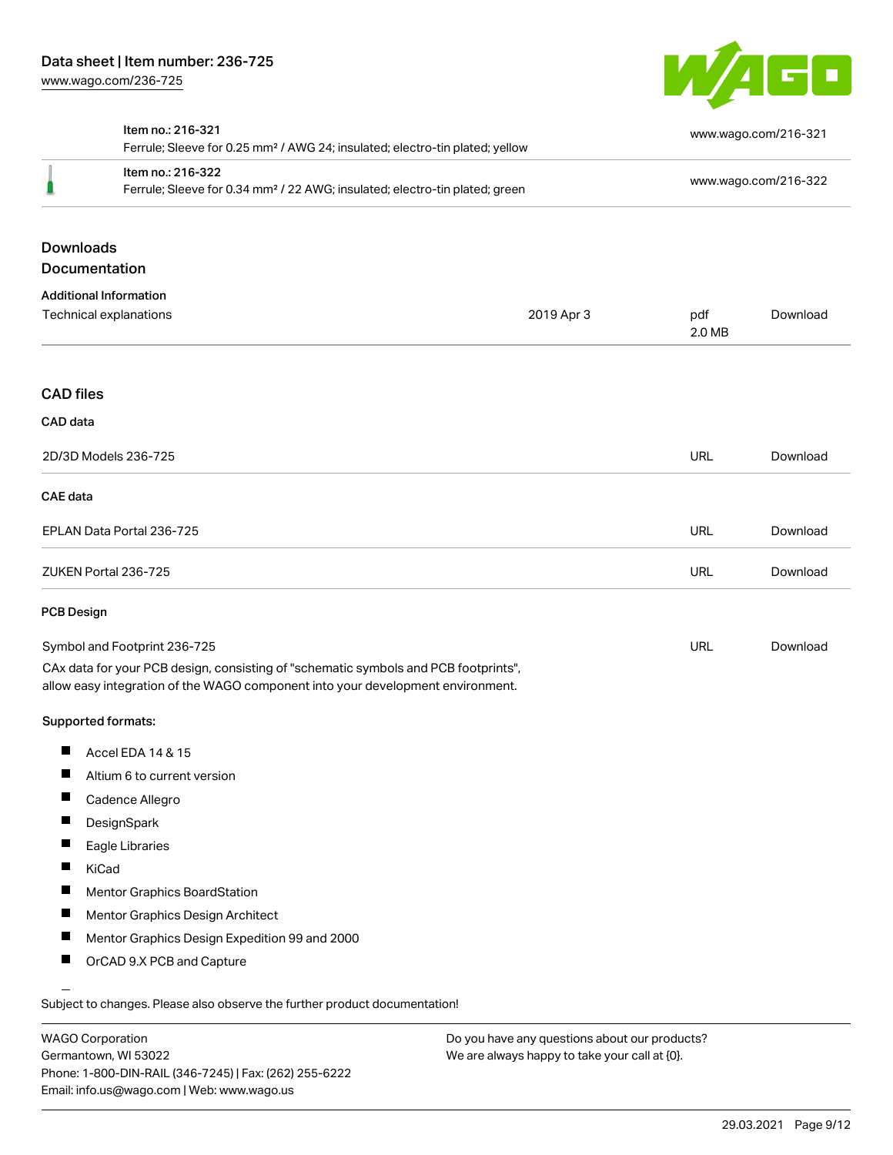

|                   | Item no.: 216-321<br>Ferrule; Sleeve for 0.25 mm <sup>2</sup> / AWG 24; insulated; electro-tin plated; yellow                                                          |            | www.wago.com/216-321 |                      |
|-------------------|------------------------------------------------------------------------------------------------------------------------------------------------------------------------|------------|----------------------|----------------------|
|                   | Item no.: 216-322<br>Ferrule; Sleeve for 0.34 mm <sup>2</sup> / 22 AWG; insulated; electro-tin plated; green                                                           |            |                      | www.wago.com/216-322 |
| <b>Downloads</b>  | Documentation                                                                                                                                                          |            |                      |                      |
|                   | <b>Additional Information</b>                                                                                                                                          |            |                      |                      |
|                   | Technical explanations                                                                                                                                                 | 2019 Apr 3 | pdf<br>2.0 MB        | Download             |
| <b>CAD files</b>  |                                                                                                                                                                        |            |                      |                      |
| CAD data          |                                                                                                                                                                        |            |                      |                      |
|                   | 2D/3D Models 236-725                                                                                                                                                   |            | URL                  | Download             |
| <b>CAE</b> data   |                                                                                                                                                                        |            |                      |                      |
|                   | EPLAN Data Portal 236-725                                                                                                                                              |            | <b>URL</b>           | Download             |
|                   | ZUKEN Portal 236-725                                                                                                                                                   |            | <b>URL</b>           | Download             |
| <b>PCB Design</b> |                                                                                                                                                                        |            |                      |                      |
|                   | Symbol and Footprint 236-725                                                                                                                                           |            | URL                  | Download             |
|                   | CAx data for your PCB design, consisting of "schematic symbols and PCB footprints",<br>allow easy integration of the WAGO component into your development environment. |            |                      |                      |
|                   | Supported formats:                                                                                                                                                     |            |                      |                      |
| ш                 | Accel EDA 14 & 15                                                                                                                                                      |            |                      |                      |
| П                 | Altium 6 to current version                                                                                                                                            |            |                      |                      |
|                   | Cadence Allegro                                                                                                                                                        |            |                      |                      |
| Ш                 | DesignSpark                                                                                                                                                            |            |                      |                      |
| п                 | Eagle Libraries                                                                                                                                                        |            |                      |                      |
|                   | KiCad                                                                                                                                                                  |            |                      |                      |
| L                 | <b>Mentor Graphics BoardStation</b>                                                                                                                                    |            |                      |                      |
| Ш                 | Mentor Graphics Design Architect                                                                                                                                       |            |                      |                      |
|                   | Mentor Graphics Design Expedition 99 and 2000                                                                                                                          |            |                      |                      |
| ш                 | OrCAD 9.X PCB and Capture                                                                                                                                              |            |                      |                      |

WAGO Corporation Germantown, WI 53022 Phone: 1-800-DIN-RAIL (346-7245) | Fax: (262) 255-6222 Email: info.us@wago.com | Web: www.wago.us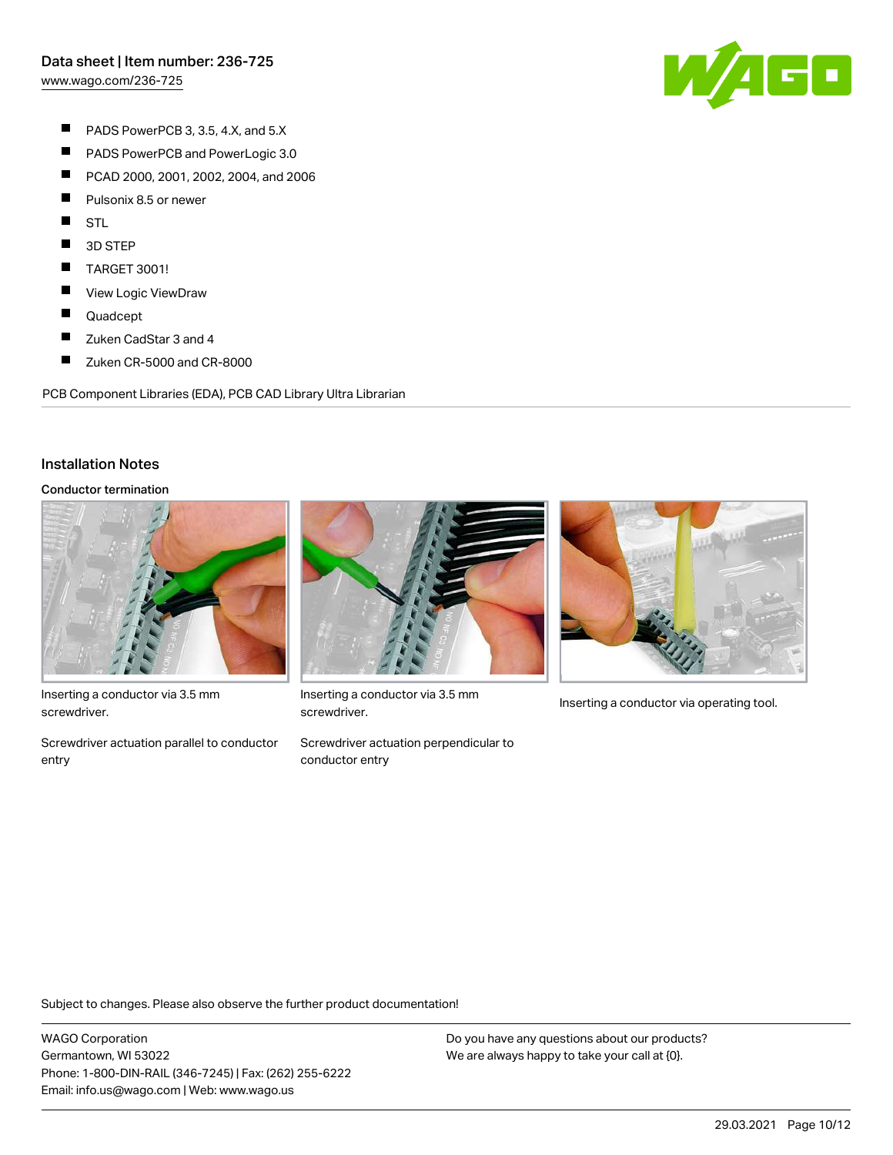[www.wago.com/236-725](http://www.wago.com/236-725)

W/1GD

- $\blacksquare$ PADS PowerPCB 3, 3.5, 4.X, and 5.X
- $\blacksquare$ PADS PowerPCB and PowerLogic 3.0
- $\blacksquare$ PCAD 2000, 2001, 2002, 2004, and 2006
- $\blacksquare$ Pulsonix 8.5 or newer
- П STL
- П 3D STEP
- $\blacksquare$ TARGET 3001!
- $\blacksquare$ View Logic ViewDraw
- $\blacksquare$ Quadcept
- П Zuken CadStar 3 and 4
- $\blacksquare$ Zuken CR-5000 and CR-8000

PCB Component Libraries (EDA), PCB CAD Library Ultra Librarian

#### Installation Notes

#### Conductor termination



Inserting a conductor via 3.5 mm screwdriver.

Screwdriver actuation parallel to conductor entry



Inserting a conductor via 3.5 mm<br>Inserting a conductor via operating tool. screwdriver.

Screwdriver actuation perpendicular to conductor entry



Subject to changes. Please also observe the further product documentation!

WAGO Corporation Germantown, WI 53022 Phone: 1-800-DIN-RAIL (346-7245) | Fax: (262) 255-6222 Email: info.us@wago.com | Web: www.wago.us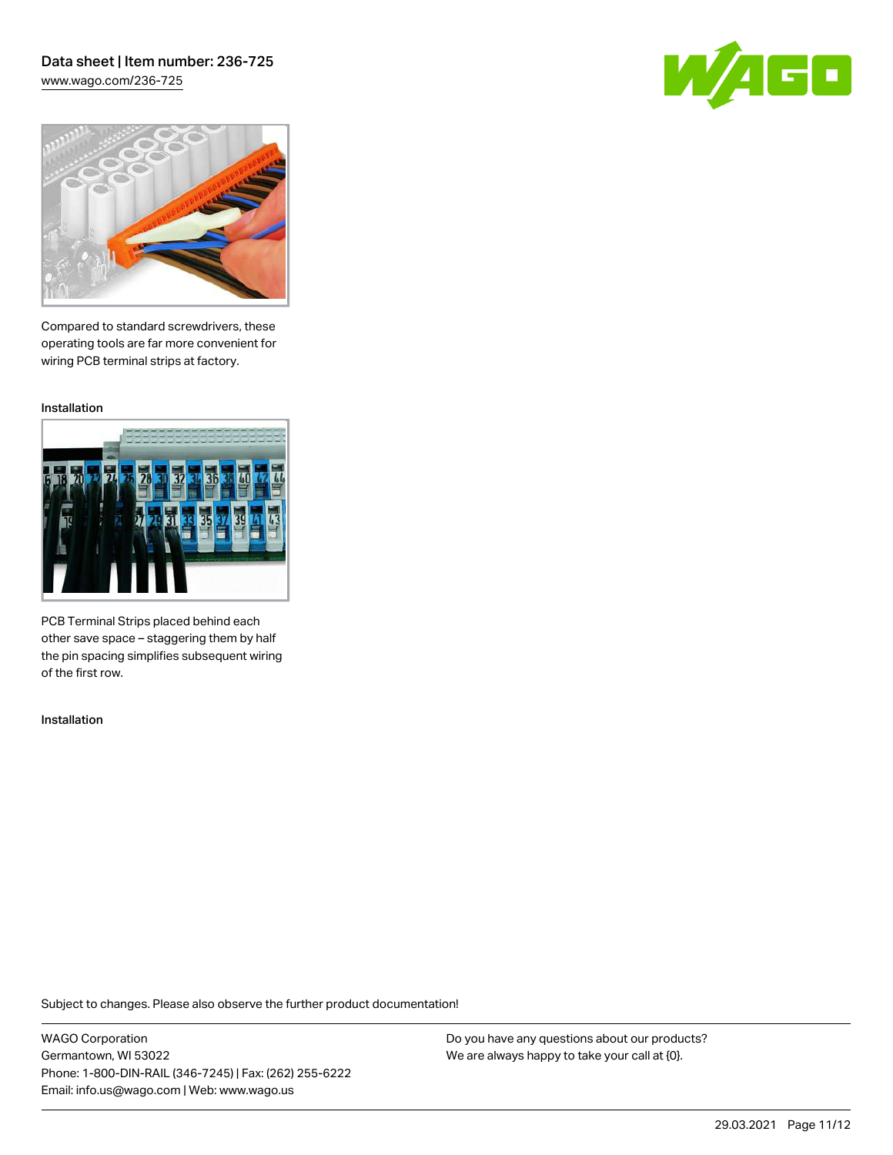# Data sheet | Item number: 236-725

[www.wago.com/236-725](http://www.wago.com/236-725)





Compared to standard screwdrivers, these operating tools are far more convenient for wiring PCB terminal strips at factory.

Installation



PCB Terminal Strips placed behind each other save space – staggering them by half the pin spacing simplifies subsequent wiring of the first row.

Installation

Subject to changes. Please also observe the further product documentation!

WAGO Corporation Germantown, WI 53022 Phone: 1-800-DIN-RAIL (346-7245) | Fax: (262) 255-6222 Email: info.us@wago.com | Web: www.wago.us